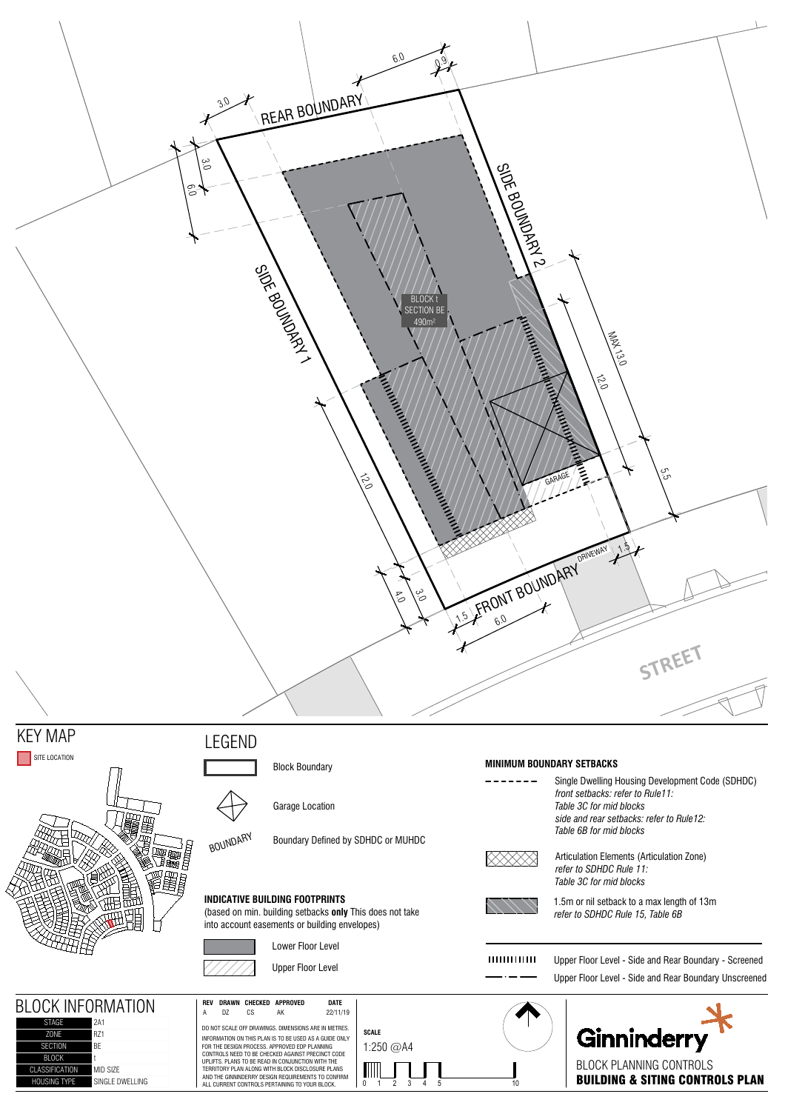